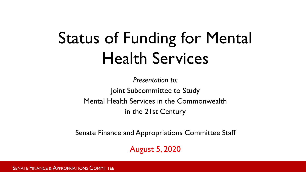# Status of Funding for Mental Health Services

*Presentation to:* Joint Subcommittee to Study Mental Health Services in the Commonwealth in the 21st Century

Senate Finance and Appropriations Committee Staff

August 5, 2020

SENATE FINANCE & APPROPRIATIONS COMMITTEE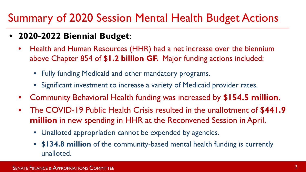#### Summary of 2020 Session Mental Health Budget Actions

- **2020-2022 Biennial Budget**:
	- Health and Human Resources (HHR) had a net increase over the biennium above Chapter 854 of **\$1.2 billion GF.** Major funding actions included:
		- Fully funding Medicaid and other mandatory programs.
		- Significant investment to increase a variety of Medicaid provider rates.
	- Community Behavioral Health funding was increased by **\$154.5 million**.
	- The COVID-19 Public Health Crisis resulted in the unallotment of **\$441.9 million** in new spending in HHR at the Reconvened Session in April.
		- Unalloted appropriation cannot be expended by agencies.
		- **\$134.8 million** of the community-based mental health funding is currently unalloted.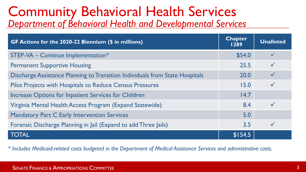#### Community Behavioral Health Services *Department of Behavioral Health and Developmental Services*

| GF Actions for the 2020-22 Biennium (\$ in millions)                         | <b>Chapter</b><br>1289 | <b>Unalloted</b> |
|------------------------------------------------------------------------------|------------------------|------------------|
| STEP-VA - Continue Implementation*                                           | \$54.0                 |                  |
| <b>Permanent Supportive Housing</b>                                          | 25.5                   |                  |
| Discharge Assistance Planning to Transition Individuals from State Hospitals | 20.0                   |                  |
| <b>Pilot Projects with Hospitals to Reduce Census Pressures</b>              | 15.0                   |                  |
| Increase Options for Inpatient Services for Children                         | 14.7                   |                  |
| Virginia Mental Health Access Program (Expand Statewide)                     | 8.4                    |                  |
| Mandatory Part C Early Intervention Services                                 | 5.0                    |                  |
| Forensic Discharge Planning in Jail (Expand to add Three Jails)              | 3.5                    |                  |
| <b>TOTAL</b>                                                                 | \$154.5                |                  |

*\* Includes Medicaid-related costs budgeted in the Department of Medical Assistance Services and administrative costs.*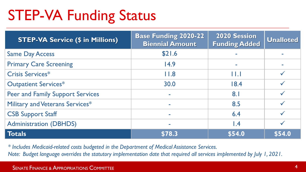### STEP-VA Funding Status

| <b>STEP-VA Service (\$ in Millions)</b> | <b>Base Funding 2020-22</b><br><b>Biennial Amount</b> | <b>2020 Session</b><br><b>Funding Added</b> | <b>Unalloted</b> |
|-----------------------------------------|-------------------------------------------------------|---------------------------------------------|------------------|
| <b>Same Day Access</b>                  | \$21.6                                                |                                             |                  |
| <b>Primary Care Screening</b>           | 14.9                                                  | ÷                                           |                  |
| Crisis Services*                        | 11.8                                                  | $\mathsf{H}. \mathsf{I}$                    |                  |
| Outpatient Services*                    | 30.0                                                  | 18.4                                        |                  |
| <b>Peer and Family Support Services</b> | $\overline{\phantom{a}}$                              | 8.1                                         |                  |
| Military and Veterans Services*         |                                                       | 8.5                                         |                  |
| <b>CSB Support Staff</b>                | ۰                                                     | 6.4                                         |                  |
| <b>Administration (DBHDS)</b>           |                                                       | $\mathsf{I}$ .4                             |                  |
| <b>Totals</b>                           | \$78.3                                                | \$54.0                                      | \$54.0           |

*\* Includes Medicaid-related costs budgeted in the Department of Medical Assistance Services.*

*Note: Budget language overrides the statutory implementation date that required all services implemented by July 1, 2021.*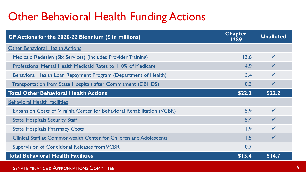#### Other Behavioral Health Funding Actions

| GF Actions for the 2020-22 Biennium (\$ in millions)                    | <b>Chapter</b><br>1289 | <b>Unalloted</b> |
|-------------------------------------------------------------------------|------------------------|------------------|
| <b>Other Behavioral Health Actions</b>                                  |                        |                  |
| Medicaid Redesign (Six Services) (Includes Provider Training)           | 13.6                   | ✓                |
| Professional Mental Health Medicaid Rates to 110% of Medicare           | 4.9                    | $\checkmark$     |
| Behavioral Health Loan Repayment Program (Department of Health)         | 3.4                    |                  |
| Transportation from State Hospitals after Commitment (DBHDS)            | 0.3                    | $\checkmark$     |
| <b>Total Other Behavioral Health Actions</b>                            | \$22.2                 | \$22.2           |
| <b>Behavioral Health Facilities</b>                                     |                        |                  |
| Expansion Costs of Virginia Center for Behavioral Rehabilitation (VCBR) | 5.9                    | $\checkmark$     |
| <b>State Hospitals Security Staff</b>                                   | 5.4                    |                  |
| <b>State Hospitals Pharmacy Costs</b>                                   | 1.9                    |                  |
| Clinical Staff at Commonwealth Center for Children and Adolescents      | 1.5                    |                  |
| Supervision of Conditional Releases from VCBR                           | 0.7                    |                  |
| <b>Total Behavioral Health Facilities</b>                               | \$15.4                 | \$14.7           |

SENATE FINANCE & APPROPRIATIONS COMMITTEE **SECURE 2018** SECURE 2019 19:30 AND 10:30 SENATE FINANCE & APPROPRIATIONS COMMITTEE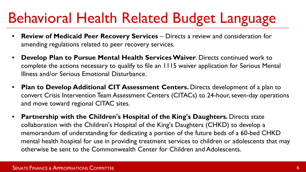### Behavioral Health Related Budget Language

- **Review of Medicaid Peer Recovery Services** Directs a review and consideration for amending regulations related to peer recovery services.
- **Develop Plan to Pursue Mental Health Services Waiver**. Directs continued work to complete the actions necessary to qualify to file an 1115 waiver application for Serious Mental Illness and/or Serious Emotional Disturbance.
- **Plan to Develop Additional CIT Assessment Centers.** Directs development of a plan to convert Crisis Intervention Team Assessment Centers (CITACs) to 24-hour, seven-day operations and move toward regional CITAC sites.
- **Partnership with the Children's Hospital of the King's Daughters.** Directs state collaboration with the Children's Hospital of the King's Daughters (CHKD) to develop a memorandum of understanding for dedicating a portion of the future beds of a 60-bed CHKD mental health hospital for use in providing treatment services to children or adolescents that may otherwise be sent to the Commonwealth Center for Children and Adolescents.